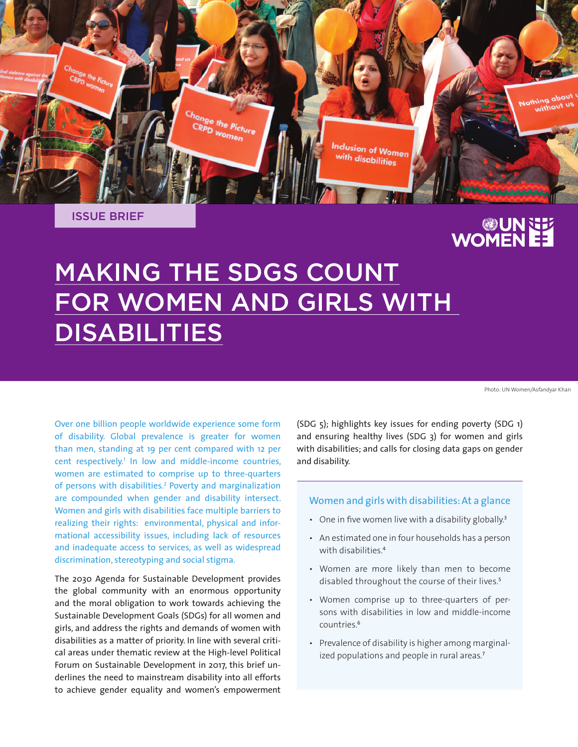

ISSUE BRIEF

# EE NUM<br>EE WOMEN

# MAKING THE SDGS COUNT FOR WOMEN AND GIRLS WITH DISABILITIES

Photo: UN Women/Asfandyar Khan

Over one billion people worldwide experience some form of disability. Global prevalence is greater for women than men, standing at 19 per cent compared with 12 per cent respectively.<sup>1</sup> In low and middle-income countries, women are estimated to comprise up to three-quarters of persons with disabilities.<sup>2</sup> Poverty and marginalization are compounded when gender and disability intersect. Women and girls with disabilities face multiple barriers to realizing their rights: environmental, physical and informational accessibility issues, including lack of resources and inadequate access to services, as well as widespread discrimination, stereotyping and social stigma.

The 2030 Agenda for Sustainable Development provides the global community with an enormous opportunity and the moral obligation to work towards achieving the Sustainable Development Goals (SDGs) for all women and girls, and address the rights and demands of women with disabilities as a matter of priority. In line with several critical areas under thematic review at the High-level Political Forum on Sustainable Development in 2017, this brief underlines the need to mainstream disability into all efforts to achieve gender equality and women's empowerment

(SDG 5); highlights key issues for ending poverty (SDG 1) and ensuring healthy lives (SDG 3) for women and girls with disabilities; and calls for closing data gaps on gender and disability.

#### Women and girls with disabilities: At a glance

- One in five women live with a disability globally.<sup>3</sup>
- An estimated one in four households has a person with disabilities.<sup>4</sup>
- Women are more likely than men to become disabled throughout the course of their lives.<sup>5</sup>
- Women comprise up to three-quarters of persons with disabilities in low and middle-income countries<sup>6</sup>
- Prevalence of disability is higher among marginalized populations and people in rural areas.<sup>7</sup>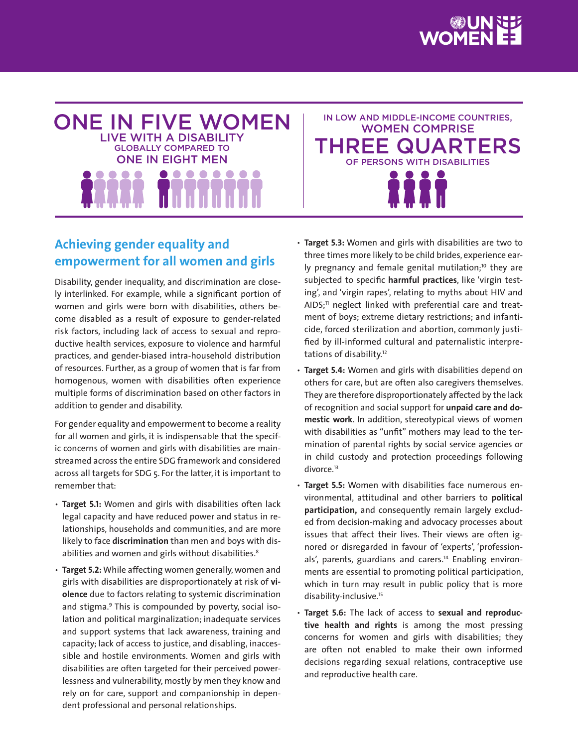



IN LOW AND MIDDLE-INCOME COUNTRIES, WOMEN COMPRISE THREE QUARTERS OF PERSONS WITH DISABILITIES

# **Achieving gender equality and empowerment for all women and girls**

Disability, gender inequality, and discrimination are closely interlinked. For example, while a significant portion of women and girls were born with disabilities, others become disabled as a result of exposure to gender-related risk factors, including lack of access to sexual and reproductive health services, exposure to violence and harmful practices, and gender-biased intra-household distribution of resources. Further, as a group of women that is far from homogenous, women with disabilities often experience multiple forms of discrimination based on other factors in addition to gender and disability.

For gender equality and empowerment to become a reality for all women and girls, it is indispensable that the specific concerns of women and girls with disabilities are mainstreamed across the entire SDG framework and considered across all targets for SDG 5. For the latter, it is important to remember that:

- **Target 5.1:** Women and girls with disabilities often lack legal capacity and have reduced power and status in relationships, households and communities, and are more likely to face **discrimination** than men and boys with disabilities and women and girls without disabilities.<sup>8</sup>
- **Target 5.2:** While affecting women generally, women and girls with disabilities are disproportionately at risk of **violence** due to factors relating to systemic discrimination and stigma.<sup>9</sup> This is compounded by poverty, social isolation and political marginalization; inadequate services and support systems that lack awareness, training and capacity; lack of access to justice, and disabling, inaccessible and hostile environments. Women and girls with disabilities are often targeted for their perceived powerlessness and vulnerability, mostly by men they know and rely on for care, support and companionship in dependent professional and personal relationships.
- **Target 5.3:** Women and girls with disabilities are two to three times more likely to be child brides, experience early pregnancy and female genital mutilation;<sup>10</sup> they are subjected to specific **harmful practices**, like 'virgin testing', and 'virgin rapes', relating to myths about HIV and AIDS;<sup>11</sup> neglect linked with preferential care and treatment of boys; extreme dietary restrictions; and infanticide, forced sterilization and abortion, commonly justified by ill-informed cultural and paternalistic interpretations of disability.<sup>12</sup>
- **Target 5.4:** Women and girls with disabilities depend on others for care, but are often also caregivers themselves. They are therefore disproportionately affected by the lack of recognition and social support for **unpaid care and domestic work**. In addition, stereotypical views of women with disabilities as "unfit" mothers may lead to the termination of parental rights by social service agencies or in child custody and protection proceedings following divorce.<sup>13</sup>
- **Target 5.5:** Women with disabilities face numerous environmental, attitudinal and other barriers to **political participation,** and consequently remain largely excluded from decision-making and advocacy processes about issues that affect their lives. Their views are often ignored or disregarded in favour of 'experts', 'professionals', parents, guardians and carers.<sup>14</sup> Enabling environments are essential to promoting political participation, which in turn may result in public policy that is more disability-inclusive.<sup>15</sup>
- **Target 5.6:** The lack of access to **sexual and reproductive health and rights** is among the most pressing concerns for women and girls with disabilities; they are often not enabled to make their own informed decisions regarding sexual relations, contraceptive use and reproductive health care.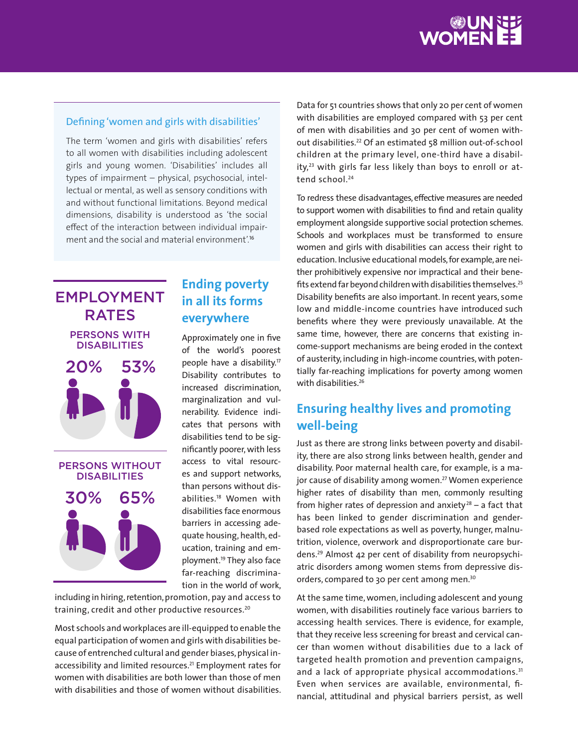

#### Defining 'women and girls with disabilities'

The term 'women and girls with disabilities' refers to all women with disabilities including adolescent girls and young women. 'Disabilities' includes all types of impairment – physical, psychosocial, intellectual or mental, as well as sensory conditions with and without functional limitations. Beyond medical dimensions, disability is understood as 'the social effect of the interaction between individual impairment and the social and material environment<sup>'16</sup>



## **Ending poverty in all its forms everywhere**

Approximately one in five of the world's poorest people have a disability.<sup>17</sup> Disability contributes to increased discrimination, marginalization and vulnerability. Evidence indicates that persons with disabilities tend to be significantly poorer, with less access to vital resources and support networks, than persons without disabilities.<sup>18</sup> Women with disabilities face enormous barriers in accessing adequate housing, health, education, training and employment.<sup>19</sup> They also face far-reaching discrimination in the world of work,

including in hiring, retention, promotion, pay and access to training, credit and other productive resources.<sup>20</sup>

Most schools and workplaces are ill-equipped to enable the equal participation of women and girls with disabilities because of entrenched cultural and gender biases, physical inaccessibility and limited resources.<sup>21</sup> Employment rates for women with disabilities are both lower than those of men with disabilities and those of women without disabilities. Data for 51 countries shows that only 20 per cent of women with disabilities are employed compared with 53 per cent of men with disabilities and 30 per cent of women without disabilities.<sup>22</sup> Of an estimated 58 million out-of-school children at the primary level, one-third have a disability,<sup>23</sup> with girls far less likely than boys to enroll or attend school.<sup>24</sup>

To redress these disadvantages, effective measures are needed to support women with disabilities to find and retain quality employment alongside supportive social protection schemes. Schools and workplaces must be transformed to ensure women and girls with disabilities can access their right to education. Inclusive educational models, for example, are neither prohibitively expensive nor impractical and their benefits extend far beyond children with disabilities themselves.<sup>25</sup> Disability benefits are also important. In recent years, some low and middle-income countries have introduced such benefits where they were previously unavailable. At the same time, however, there are concerns that existing income-support mechanisms are being eroded in the context of austerity, including in high-income countries, with potentially far-reaching implications for poverty among women with disabilities.<sup>26</sup>

# **Ensuring healthy lives and promoting well-being**

Just as there are strong links between poverty and disability, there are also strong links between health, gender and disability. Poor maternal health care, for example, is a major cause of disability among women.<sup>27</sup> Women experience higher rates of disability than men, commonly resulting from higher rates of depression and anxiety<sup>28</sup> – a fact that has been linked to gender discrimination and genderbased role expectations as well as poverty, hunger, malnutrition, violence, overwork and disproportionate care burdens.29 Almost 42 per cent of disability from neuropsychiatric disorders among women stems from depressive disorders, compared to 30 per cent among men.<sup>30</sup>

At the same time, women, including adolescent and young women, with disabilities routinely face various barriers to accessing health services. There is evidence, for example, that they receive less screening for breast and cervical cancer than women without disabilities due to a lack of targeted health promotion and prevention campaigns, and a lack of appropriate physical accommodations.<sup>31</sup> Even when services are available, environmental, financial, attitudinal and physical barriers persist, as well